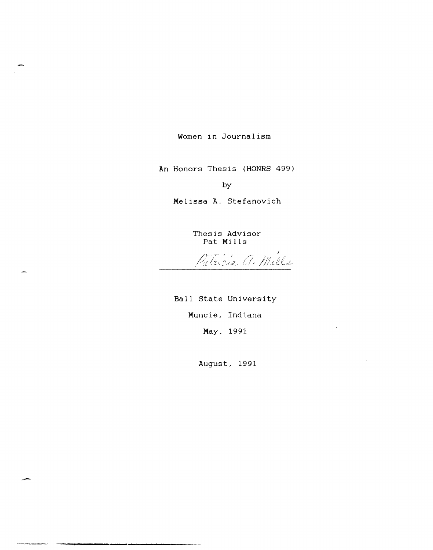Women in Journalism

An Honors Thesis (HONRS 499)

by

Melissa A. Stefanovich

Thesis Advisor

Pat Mills<br>Patricia a Mills

Ball State University Muncie, Indiana May, 1991

August, 1991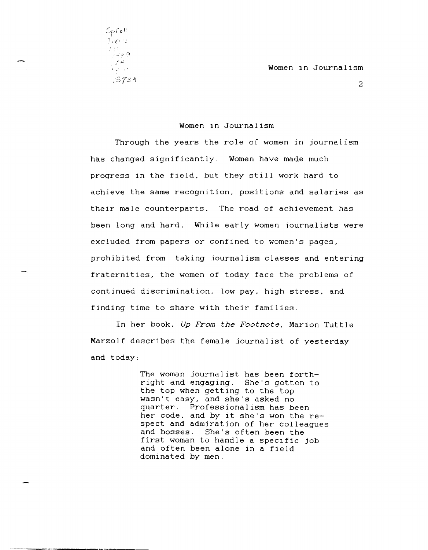Women in Journalism

2

## Women in Journalism

Through the years the role of women in journalism has changed significantly. Women have made much progress in the field. but they still work hard to achieve the same recognition. positions and salaries as their male counterparts. The road of achievement has been long and hard. While early women journalists were excluded from papers or confined to women's pages. prohibited from taking journalism classes and entering fraternities. the women of today face the problems of continued discrimination. low pay. high stress. and finding time to share with their families.

In her book. *Up From the Footnote.* Marion Tuttle Marzolf describes the female journalist of yesterday and today:

> The woman journalist has been forthright and engaging. She's gotten to the top when getting to the top wasn't easy. and she's asked no quarter. Professionalism has been her code. and by it she's won the respect and admiration of her colleagues and bosses. She's often been the first woman to handle a specific job and often been alone in a field dominated by men.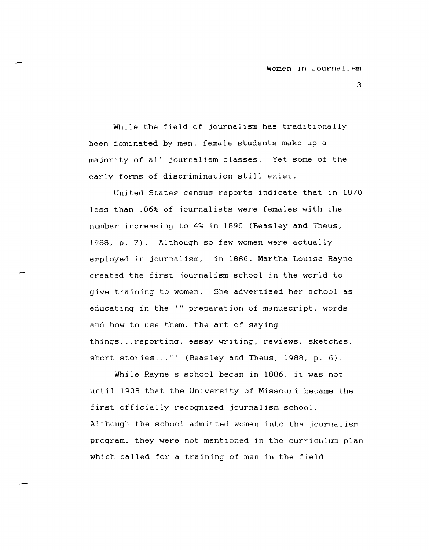While the field of journalism has traditionally been dominated by men, female students make up a majority of all journalism classes. Yet some of the early forms of discrimination still exist.

United States census reports indicate that in 1870 less than .06% of journalists were females with the number increasing to 4% in 1890 (Beasley and Theus, 1988, p. 7). Although so few women were actually employed in journalism, in 1886, Martha Louise Rayne created the first journalism school in the world to give training to women. She advertised her school as educating in the '" preparation of manuscript. words and how to use them, the art of saying things ... reporting, essay writing, reviews, sketches, short stories..."' (Beasley and Theus, 1988, p. 6).

While Rayne's school began in 1886, it was not until 1908 that the University of Missouri became the first officially recognized journalism school. Although the school admitted women into the journalism program, they were not mentioned in the curriculum plan which called for a training of men in the field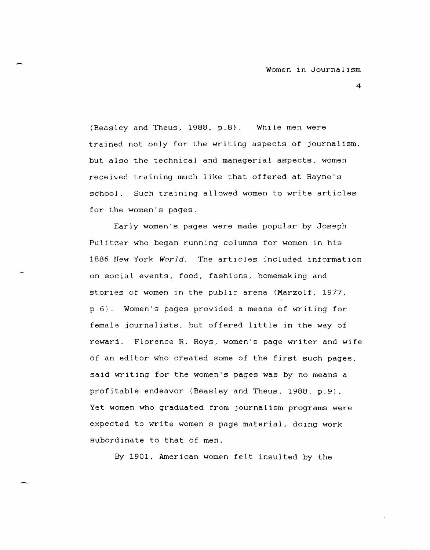(Beasley and Theus, 1988, p.8). While men were trained not only for the writing aspects of journalism, but also the technical and managerial aspects, women received training much like that offered at Rayne's school. Such training allowed women to write articles for the women's pages.

Early women's pages were made popular by Joseph Pulitzer who began running columns for women in his 1886 New York *World.* The articles included information on social events, food, fashions, homemaking and stories ot women in the public arena (Marzolf, 1977, p.6). Women's pages provided a means of writing for female journalists, but offered little in the way of reward. Florence R. Roys. women's page writer and wife of an editor who created some of the first such pages. said writing for the women's pages was by no means a profitable endeavor (Beasley and Theus, 1988. p.9). Yet women who graduated from journalism programs were expected to write women's page material. doing work subordinate to that of men.

By 1901, American women felt insulted by the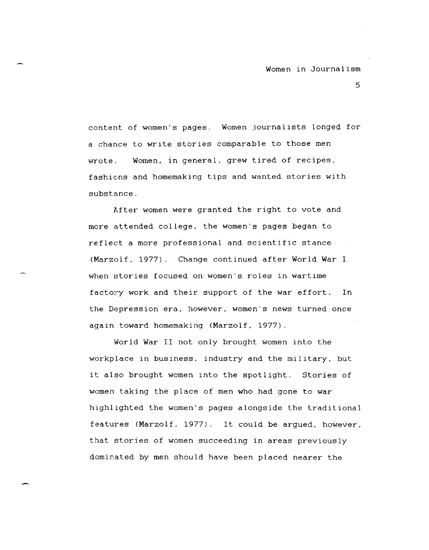content of women's pages. Women journalists longed for a chance to write stories comparable to those men wrote. Women, in general, grew tired of recipes, fashions and homemaking tips and wanted stories with substance.

After women were granted the right to vote and more attended college, the women's pages began to reflect a more professional and scientific stance (Marzolf, 1977). Change continued after World War I when stories focused on women's roles in wartime factory work and their support of the war effort. In the Depression era, however, women's news turned once again toward homemaking (Marzolf, 1977).

World War II not only brought women into the workplace in business. industry and the military. but it also brought women into the spotlight. Stories of women taking the place of men who had gone to war highlighted the women's pages alongside the traditional features (Marzolf, 1977). It could be argued, however, that stories of women succeeding in areas previously dominated by men should have been placed nearer the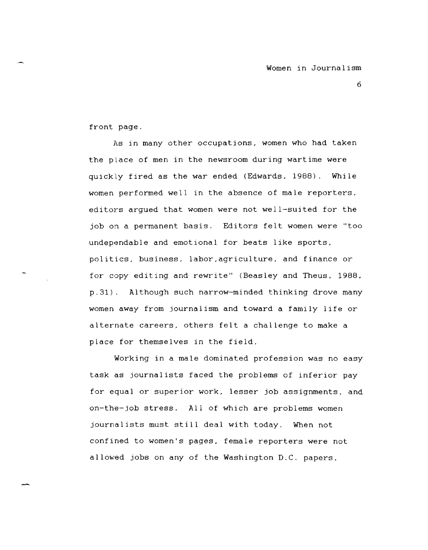front page.

hs in many other occupations, women who had taken the place of men in the newsroom during wartime were quickly fired as the war ended (Edwards. 1988). While women performed well in the absence of male reporters. editors argued that women were not well-suited for the job on a permanent basis. Editors felt women were "too undependable and emotional for beats like sports, politics. business. labor.agriculture, and finance or for copy editing and rewrite" (Beasley and Theus, 1988, p. 31) . Although such narrow-minded thinking drove many women away from journalism and toward a family life or alternate careers, others felt a challenge to make a place for themselves in the field.

Working in a male dominated profession was no easy task as journalists faced the problems of inferior pay for equal or superior work, lesser job assignments, and on-the-job stress. All of which are problems women journalists must still deal with today. When not confined to women's pages, female reporters were not allowed jobs on any of the Washington D.C. papers,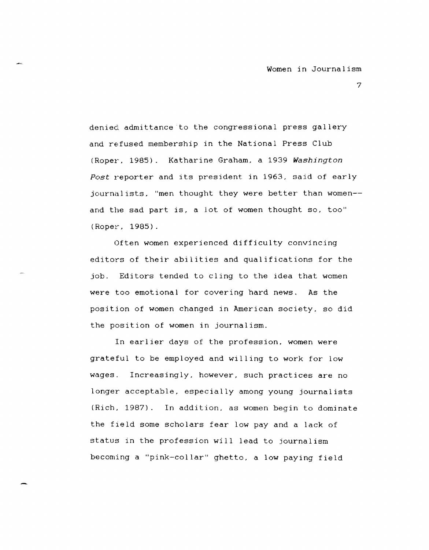denied admittance to the congressional press gallery and refused membership in the National Press Club (Roper, 1985). Katharine Graham, a 1939 *Washington*  Post reporter and its president in 1963, said of early journalists, "men thought they were better than women-and the sad part is, a lot of women thought so, too" (Roper, 1985).

Often women experienced difficulty convincing editors of their abilities and qualifications for the job. Editors tended to cling to the idea that women were too emotional for covering hard news. As the position of women changed in American society, so did the position of women in journalism.

In earlier days of the profession, women were grateful to be employed and willing to work for low wages. Increasingly, however, such practices are no longer acceptable, especially among young journalists (Rich, 1987). In addition, as women begin to dominate the field some scholars fear low pay and a lack of status in the profession will lead to journalism becoming a "pink-collar" ghetto, a low paying field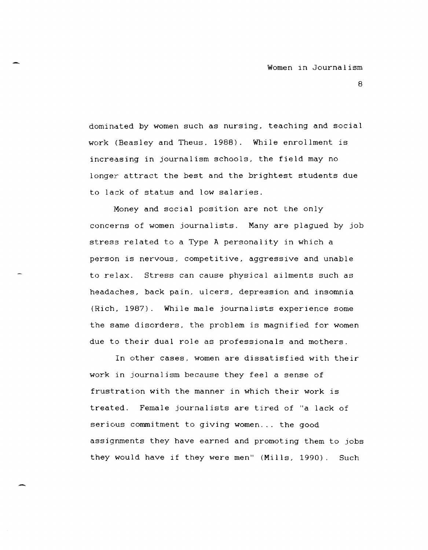dominated by women such as nursing, teaching and social work (Beasley and Theus. 1988). While enrollment is increasing in journalism schools, the field may no longer attract the best and the brightest students due to lack of status and low salaries.

Money and social position are not the only concerns of women journalists. Many are plagued by job stress related to a Type A personality in which a person is nervous, competitive, aggressive and unable to relax. Stress can cause physical ailments such as headaches, back pain, ulcers, depression and insomnia (Rich, 1987). While male journalists experience some the same disorders, the problem is magnified for women due to their dual role as professionals and mothers.

In other cases, women are dissatisfied with their work in journalism because they feel a sense of frustration with the manner in which their work is treated. Female journalists are tired of "a lack of serious commitment to giving women ... the good assignments they have earned and promoting them to jobs they would have if they were men" (Mills, 1990). Such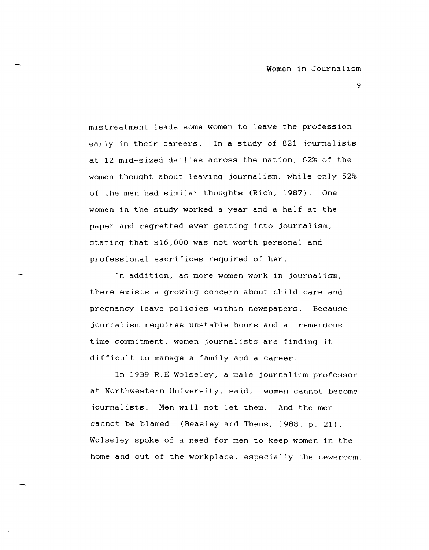mistreatment leads some women to leave the profession early in their careers. In a study of 821 journalists at 12 mid-sized dailies across the nation, 62% of the women thought about leaving journalism, while only 52% of the men had similar thoughts (Rich, 1987). One women in the study worked a year and a half at the paper and regretted ever getting into journalism, stating that \$16,000 was not worth personal and professional sacrifices required of her.

In addition, as more women work in journalism, there exists a growing concern about child care and pregnancy leave policies within newspapers. Because journalism requires unstable hours and a tremendous time commitment, women journalists are finding it difficult to manage a family and a career.

In 1939 R.E Wolseley, a male journalism professor at Northwestern University, said, "women cannot become journalists. Men will not let them. And the men cannot be blamed" (Beasley and Theus, 1988. p. 21) Wolseley spoke of a need for men to keep women in the home and out of the workplace, especially the newsroom.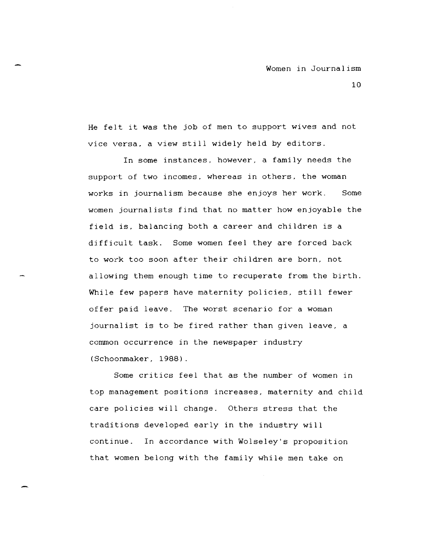He felt it was the job of men to support wives and not vice versa, a view still widely held by editors.

In some instances, however, a family needs the support of two incomes, whereas in others, the woman works in journalism because she enjoys her work. Some women journalists find that no matter how enjoyable the field is, balancing both a career and children is a difficult task. Some women feel they are forced back to work too soon after their children are born, not allowing them enough time to recuperate from the birth. While few papers have maternity policies, still fewer offer paid leave. The worst scenario for a woman journalist is to be fired rather than given leave, a common occurrence in the newspaper industry (Schoonmaker, 1988).

Some critics feel that as the number of women in top management positions increases, maternity and child care policies will change. Others stress that the traditions developed early in the industry will continue. In accordance with Wolseley's proposition that women belong with the family while men take on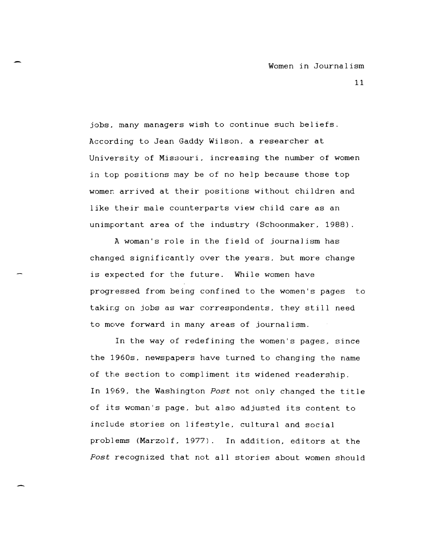jobs, many managers wish to continue such beliefs. According to Jean Gaddy Wilson, a researcher at University of Missouri, increasing the number of women in top positions may be of no help because those top women arrived at their positions without children and like their male counterparts view child care as an unimportant area of the industry (Schoonmaker, 1988).

A woman's role in the field of journalism has changed significantly over the years, but more change is expected for the future. While women have progressed from being confined to the women's pages to taking on jobs as war correspondents, they still need to move forward in many areas of journalism.

In the way of redefining the women's pages, since the 1960s, newspapers have turned to changing the name of the section to compliment its widened readership. In 1969, the Washington *Post* not only changed the title of its woman's page, but also adjusted its content to include stories on lifestyle, cultural and social problems (Marzolf, 1977). In addition, editors at the *Post* recognized that not all stories about women should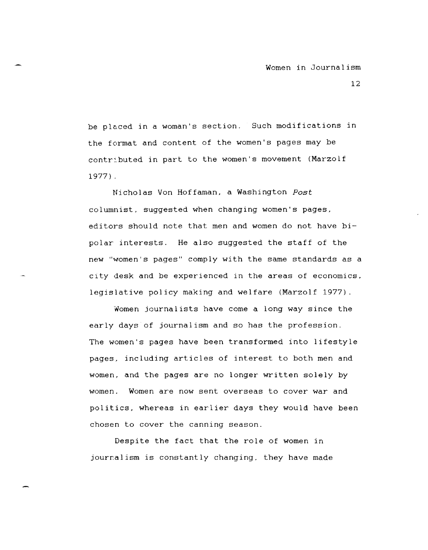be placed in a woman's section. Such modifications in the format and content of the women's pages may be contributed in part to the women's movement (Marzolf 1977) .

Nicholas Von Hoffaman. a Washington *Post*  columnist. suggested when changing women's pages. editors should note that men and women do not have bipolar interests. He also suggested the staff of the new "women's pages" comply with the same standards as a city desk and be experienced in the areas of economics. legislative policy making and welfare (Marzolf 1977).

Women journalists have come a long way since the early days of journalism and so has the profession. The women's pages have been transformed into lifestyle pages. including articles of interest to both men and women. and the pages are no longer written solely by women. Women are now sent overseas to cover war and politics, whereas in earlier days they would have been chosen to cover the canning season.

Despite the fact that the role of women in journalism is constantly changing. they have made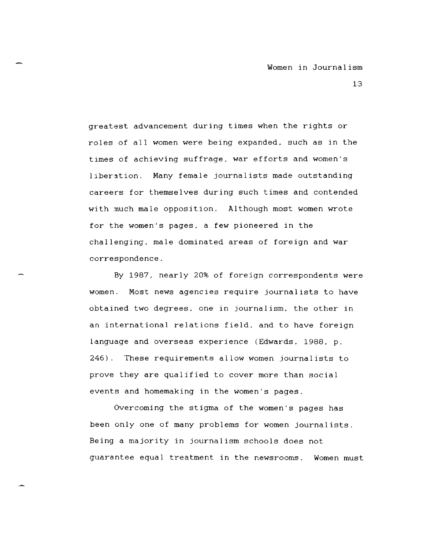greatest advancement during times when the rights or roles of all women were being expanded. such as in the times of achieving suffrage. war efforts and women's liberation. Many female journalists made outstanding careers for themselves during such times and contended with much male opposition. Although most women wrote for the women's pages. a few pioneered in the challenging. male dominated areas of foreign and war correspondence.

By 1987. nearly 20% of foreign correspondents were women. Most news agencies require journalists to have obtained two degrees. one in journalism. the other in an international relations field. and to have foreign language and overseas experience (Edwards, 1988, p. 246). These requirements allow women journalists to prove they are qualified to cover more than social events and homemaking in the women's pages.

Overcoming the stigma of the women's pages has been only one of many problems for women journalists. Being a majority in journalism schools does not guarantee equal treatment in the newsrooms. Women must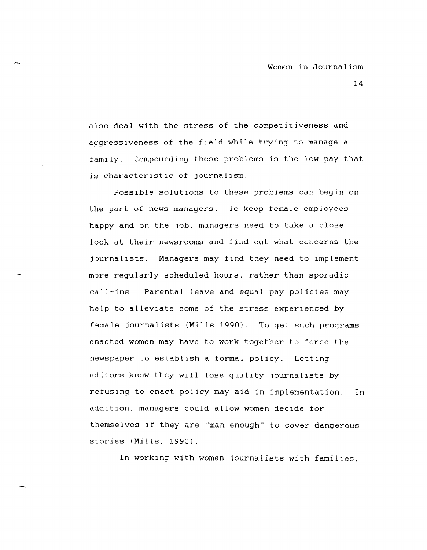also deal with the stress of the competitiveness and aggressiveness of the field while trying to manage a family. Compounding these problems is the low pay that is characteristic of journalism.

Possible solutions to these problems can begin on the part of news managers. To keep female employees happy and on the job. managers need to take a close look at their newsrooms and find out what concerns the journalists. Managers may find they need to implement more regularly scheduled hours. rather than sporadic call-ins. Parental leave and equal pay policies may help to alleviate some of the stress experienced by female journalists (Mills 1990). To get such programs enacted women may have to work together to force the newspaper to establish a formal policy. Letting editors know they will lose quality journalists by refusing to enact policy may aid in implementation. In addition. managers could allow women decide for themselves if they are "man enough" to cover dangerous stories (Mills. 1990).

In working with women journalists with families.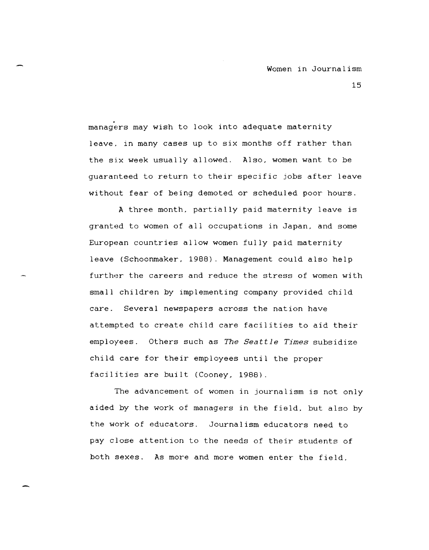managers may wish to look into adequate maternity leave, in many cases up to six months off rather than the six week usually allowed. Also, women want to be guaranteed to return to their specific jobs after leave without fear of being demoted or scheduled poor hours.

A three month, partially paid maternity leave is granted to women of all occupations in Japan, and some European countries allow women fully paid maternity leave (Schoonmaker, 1988). Management could also help further the careers and reduce the stress of women with small children by implementing company provided child care. Several newspapers across the nation have attempted to create child care facilities to aid their employees. Others such as The Seattle Times subsidize child care for their employees until the proper facilities are built (Cooney, 1988).

The advancement of women in journalism is not only aided by the work of managers in the field. but also by the work of educators. Journalism educators need to pay close attention to the needs of their students of both sexes. As more and more women enter the field,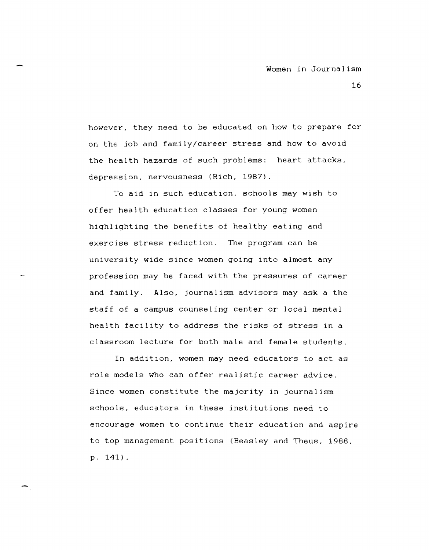however. they need to be educated on how to prepare for on the job and family/career stress and how to avoid the health hazards of such problems: heart attacks. depression. nervousness (Rich. 1987).

70 aid in such education. schools may wish to offer health education classes for young women highlighting the benefits of healthy eating and exercise stress reduction. The program can be university wide since women going into almost any profession may be faced with the pressures of career and family. Also. journalism advisors may ask a the staff of a campus counseling center or local mental health facility to address the risks of stress in a classroom lecture for both male and female students.

In addition. women may need educators to act as role models who can offer realistic career advice. Since women constitute the majority in journalism schools. educators in these institutions need to encourage women to continue their education and aspire to top management positions (Beasley and Theus. 1988. p. 141).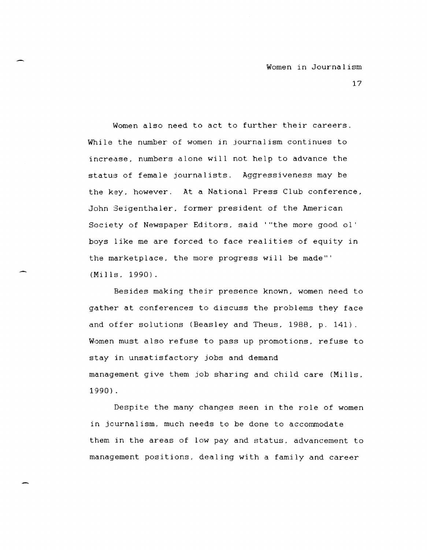Women also need to act to further their careers. While the number of women in journalism continues to increase, numbers alone will not help to advance the status of female journalists. Aggressiveness may be the key, however. At a National Press Club conference, John Seigenthaler, former president of the American Society of Newspaper Editors, said '''the more good 01' boys like me are forced to face realities of equity in the marketplace, the more progress will be made'" (Mills, 1990).

Besides making their presence known, women need to gather at conferences to discuss the problems they face and offer solutions (Beasley and Theus, 1988, p. 141). Women must also refuse to pass up promotions, refuse to stay in unsatisfactory jobs and demand management give them job sharing and child care (Mills, 1990) .

Despite the many changes seen in the role of women in journalism, much needs to be done to accommodate them in the areas of low pay and status. advancement to management positions, dealing with a family and career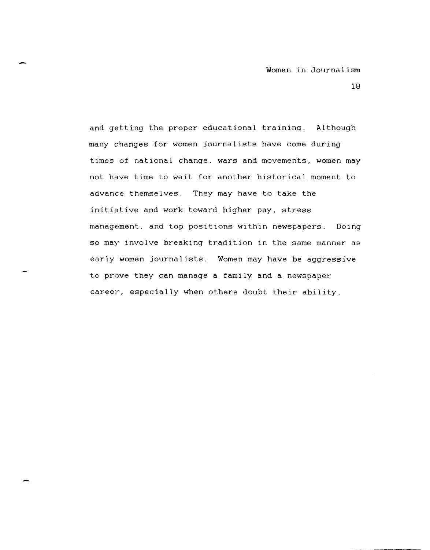and getting the proper educational training. Although many changes for women journalists have come during times of national change, wars and movements, women may not have time to wait for another historical moment to advance themselves. They may have to take the initiative and work toward higher pay, stress management, and top positions within newspapers. Doing so may involve breaking tradition in the same manner as early women journalists. Women may have be aggressive to prove they can manage a family and a newspaper career, especially when others doubt their ability.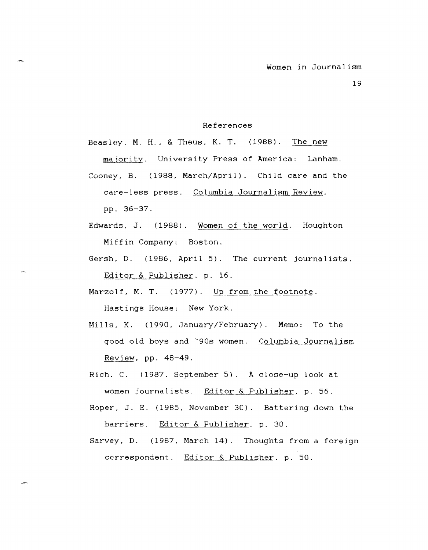## References

Beasley, M. H., & Theus, K. T. (1988). The new

majority. University Press of America: Lanham.

- Cooney. B. (1988. March/April). Child care and the care-less press. Columbia Journalism Review. pp. 36-37.
- Edwards. J. (1988). Women of the world. Houghton Miffin Company: Boston.
- Gersh. D. (1986. April 5). The current journalists. Editor & Publisher, p. 16.
- Marzolf, M. T. (1977). Up from the footnote. Hastings House: New York.
- Mills, K. (1990, January/February). Memo: To the good old boys and '90s women. Columbia Journalism Review, pp.  $48-49$ .
- Rich. C. (1987, September 5). A close-up look at women journalists. Editor & Publisher, p. 56.
- Roper. J. E. (1985, November 30). Battering down the barriers. Editor & Publisher. p. 30.
- Sarvey. D. (1987. March 14). Thoughts from a foreign correspondent. Editor & Publisher, p. 50.